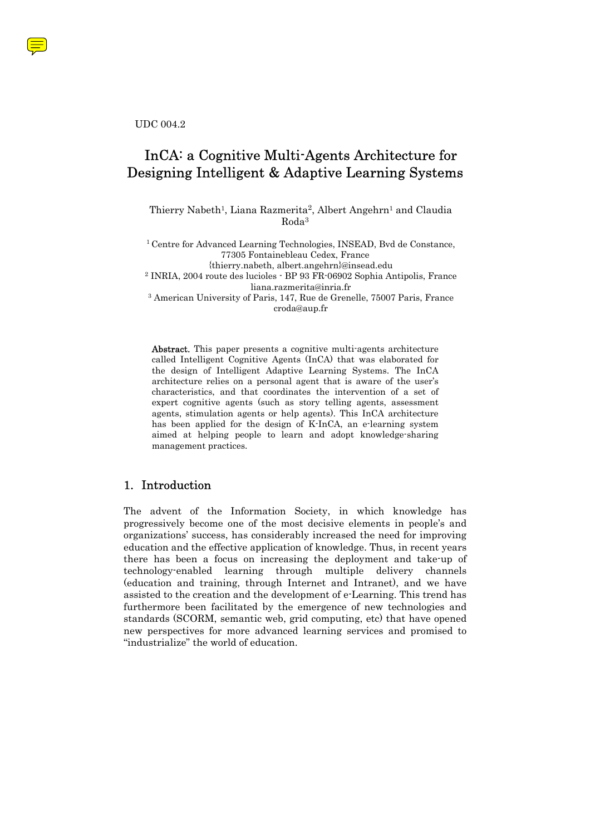UDC 004.2

# InCA: a Cognitive Multi-Agents Architecture for Designing Intelligent & Adaptive Learning Systems

Thierry Nabeth<sup>1</sup>, Liana Razmerita<sup>2</sup>, Albert Angehrn<sup>1</sup> and Claudia Roda3

1 Centre for Advanced Learning Technologies, INSEAD, Bvd de Constance, 77305 Fontainebleau Cedex, France

{thierry.nabeth, albert.angehrn}@insead.edu 2 INRIA, 2004 route des lucioles - BP 93 FR-06902 Sophia Antipolis, France

liana.razmerita@inria.fr<br><sup>3</sup> American University of Paris, 147, Rue de Grenelle, 75007 Paris, France croda@aup.fr

Abstract. This paper presents a cognitive multi-agents architecture called Intelligent Cognitive Agents (InCA) that was elaborated for the design of Intelligent Adaptive Learning Systems. The InCA architecture relies on a personal agent that is aware of the user's characteristics, and that coordinates the intervention of a set of expert cognitive agents (such as story telling agents, assessment agents, stimulation agents or help agents). This InCA architecture has been applied for the design of K-InCA, an e-learning system aimed at helping people to learn and adopt knowledge-sharing management practices.

# 1. Introduction

The advent of the Information Society, in which knowledge has progressively become one of the most decisive elements in people's and organizations' success, has considerably increased the need for improving education and the effective application of knowledge. Thus, in recent years there has been a focus on increasing the deployment and take-up of technology-enabled learning through multiple delivery channels (education and training, through Internet and Intranet), and we have assisted to the creation and the development of e-Learning. This trend has furthermore been facilitated by the emergence of new technologies and standards (SCORM, semantic web, grid computing, etc) that have opened new perspectives for more advanced learning services and promised to "industrialize" the world of education.

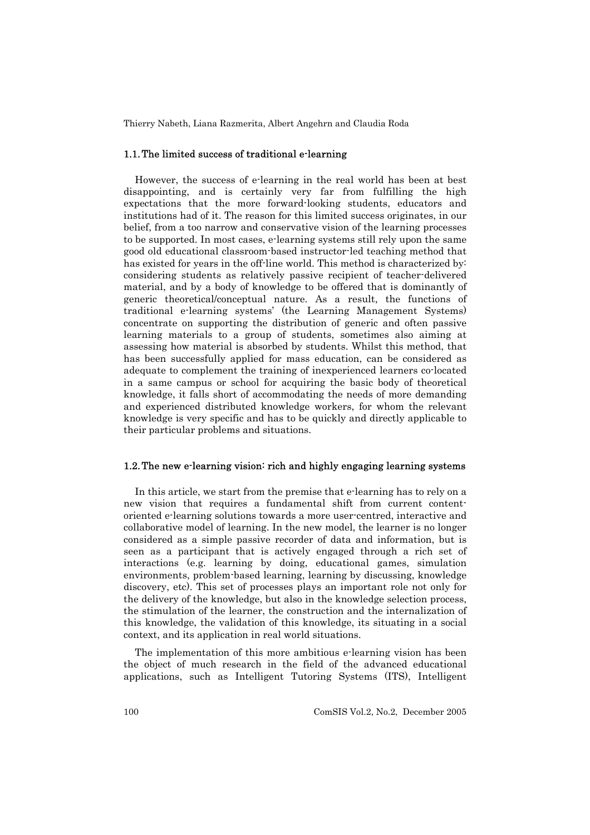#### 1.1. The limited success of traditional e-learning

However, the success of e-learning in the real world has been at best disappointing, and is certainly very far from fulfilling the high expectations that the more forward-looking students, educators and institutions had of it. The reason for this limited success originates, in our belief, from a too narrow and conservative vision of the learning processes to be supported. In most cases, e-learning systems still rely upon the same good old educational classroom-based instructor-led teaching method that has existed for years in the off-line world. This method is characterized by: considering students as relatively passive recipient of teacher-delivered material, and by a body of knowledge to be offered that is dominantly of generic theoretical/conceptual nature. As a result, the functions of traditional e-learning systems' (the Learning Management Systems) concentrate on supporting the distribution of generic and often passive learning materials to a group of students, sometimes also aiming at assessing how material is absorbed by students. Whilst this method, that has been successfully applied for mass education, can be considered as adequate to complement the training of inexperienced learners co-located in a same campus or school for acquiring the basic body of theoretical knowledge, it falls short of accommodating the needs of more demanding and experienced distributed knowledge workers, for whom the relevant knowledge is very specific and has to be quickly and directly applicable to their particular problems and situations.

#### 1.2. The new e-learning vision: rich and highly engaging learning systems

In this article, we start from the premise that e-learning has to rely on a new vision that requires a fundamental shift from current contentoriented e-learning solutions towards a more user-centred, interactive and collaborative model of learning. In the new model, the learner is no longer considered as a simple passive recorder of data and information, but is seen as a participant that is actively engaged through a rich set of interactions (e.g. learning by doing, educational games, simulation environments, problem-based learning, learning by discussing, knowledge discovery, etc). This set of processes plays an important role not only for the delivery of the knowledge, but also in the knowledge selection process, the stimulation of the learner, the construction and the internalization of this knowledge, the validation of this knowledge, its situating in a social context, and its application in real world situations.

The implementation of this more ambitious e-learning vision has been the object of much research in the field of the advanced educational applications, such as Intelligent Tutoring Systems (ITS), Intelligent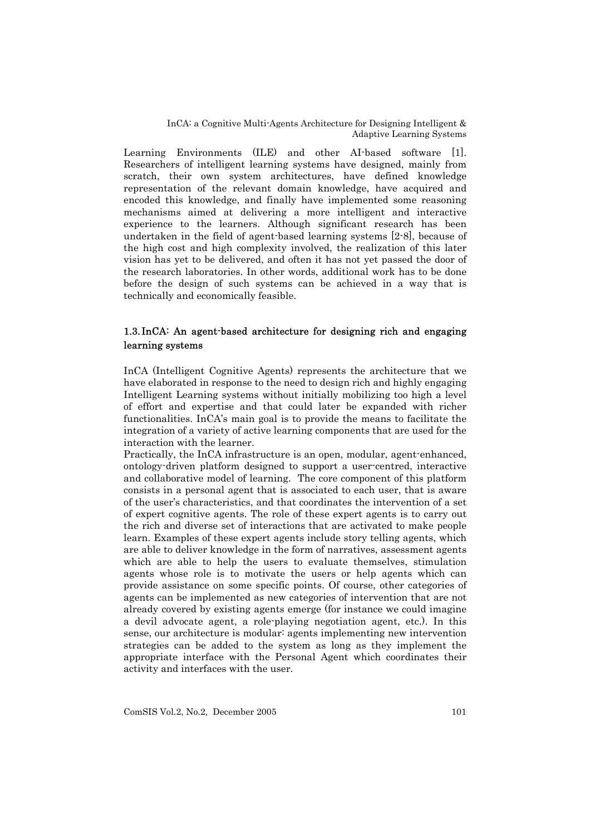Learning Environments (ILE) and other AI-based software [1]. Researchers of intelligent learning systems have designed, mainly from scratch, their own system architectures, have defined knowledge representation of the relevant domain knowledge, have acquired and encoded this knowledge, and finally have implemented some reasoning mechanisms aimed at delivering a more intelligent and interactive experience to the learners. Although significant research has been undertaken in the field of agent-based learning systems [2-8], because of the high cost and high complexity involved, the realization of this later vision has yet to be delivered, and often it has not yet passed the door of the research laboratories. In other words, additional work has to be done before the design of such systems can be achieved in a way that is technically and economically feasible.

### 1.3. InCA: An agent-based architecture for designing rich and engaging learning systems

InCA (Intelligent Cognitive Agents) represents the architecture that we have elaborated in response to the need to design rich and highly engaging Intelligent Learning systems without initially mobilizing too high a level of effort and expertise and that could later be expanded with richer functionalities. InCA's main goal is to provide the means to facilitate the integration of a variety of active learning components that are used for the interaction with the learner.

Practically, the InCA infrastructure is an open, modular, agent-enhanced, ontology-driven platform designed to support a user-centred, interactive and collaborative model of learning. The core component of this platform consists in a personal agent that is associated to each user, that is aware of the user's characteristics, and that coordinates the intervention of a set of expert cognitive agents. The role of these expert agents is to carry out the rich and diverse set of interactions that are activated to make people learn. Examples of these expert agents include story telling agents, which are able to deliver knowledge in the form of narratives, assessment agents which are able to help the users to evaluate themselves, stimulation agents whose role is to motivate the users or help agents which can provide assistance on some specific points. Of course, other categories of agents can be implemented as new categories of intervention that are not already covered by existing agents emerge (for instance we could imagine a devil advocate agent, a role-playing negotiation agent, etc.). In this sense, our architecture is modular: agents implementing new intervention strategies can be added to the system as long as they implement the appropriate interface with the Personal Agent which coordinates their activity and interfaces with the user.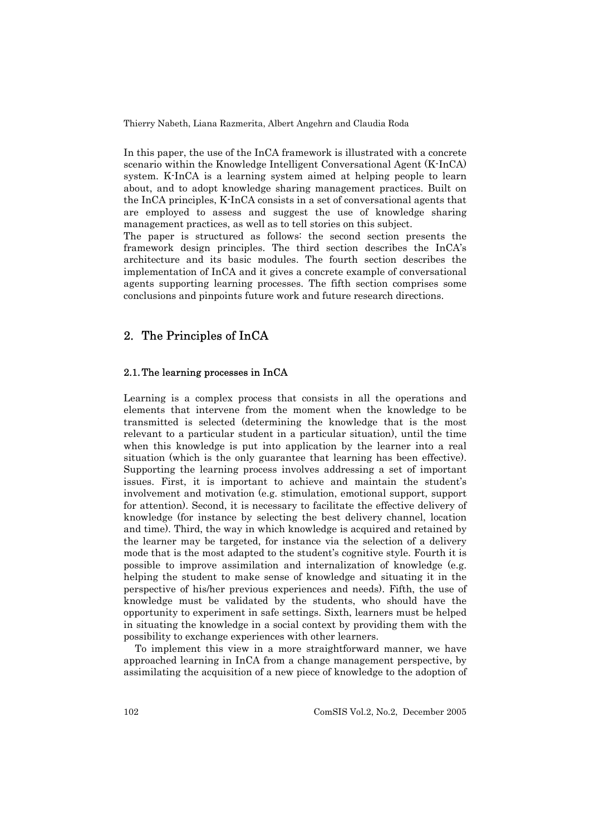In this paper, the use of the InCA framework is illustrated with a concrete scenario within the Knowledge Intelligent Conversational Agent (K-InCA) system. K-InCA is a learning system aimed at helping people to learn about, and to adopt knowledge sharing management practices. Built on the InCA principles, K-InCA consists in a set of conversational agents that are employed to assess and suggest the use of knowledge sharing management practices, as well as to tell stories on this subject.

The paper is structured as follows: the second section presents the framework design principles. The third section describes the InCA's architecture and its basic modules. The fourth section describes the implementation of InCA and it gives a concrete example of conversational agents supporting learning processes. The fifth section comprises some conclusions and pinpoints future work and future research directions.

### 2. The Principles of InCA

### 2.1. The learning processes in InCA

Learning is a complex process that consists in all the operations and elements that intervene from the moment when the knowledge to be transmitted is selected (determining the knowledge that is the most relevant to a particular student in a particular situation), until the time when this knowledge is put into application by the learner into a real situation (which is the only guarantee that learning has been effective). Supporting the learning process involves addressing a set of important issues. First, it is important to achieve and maintain the student's involvement and motivation (e.g. stimulation, emotional support, support for attention). Second, it is necessary to facilitate the effective delivery of knowledge (for instance by selecting the best delivery channel, location and time). Third, the way in which knowledge is acquired and retained by the learner may be targeted, for instance via the selection of a delivery mode that is the most adapted to the student's cognitive style. Fourth it is possible to improve assimilation and internalization of knowledge (e.g. helping the student to make sense of knowledge and situating it in the perspective of his/her previous experiences and needs). Fifth, the use of knowledge must be validated by the students, who should have the opportunity to experiment in safe settings. Sixth, learners must be helped in situating the knowledge in a social context by providing them with the possibility to exchange experiences with other learners.

To implement this view in a more straightforward manner, we have approached learning in InCA from a change management perspective, by assimilating the acquisition of a new piece of knowledge to the adoption of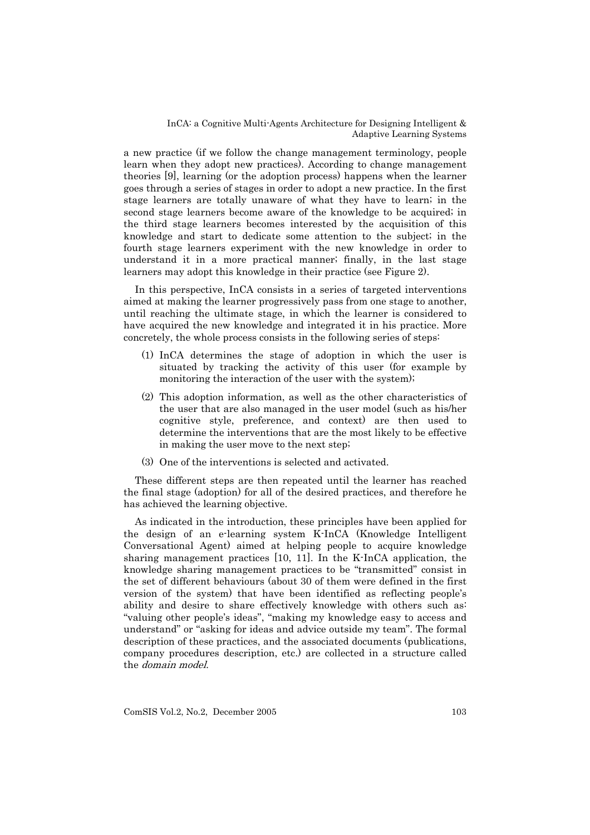a new practice (if we follow the change management terminology, people learn when they adopt new practices). According to change management theories [9], learning (or the adoption process) happens when the learner goes through a series of stages in order to adopt a new practice. In the first stage learners are totally unaware of what they have to learn; in the second stage learners become aware of the knowledge to be acquired; in the third stage learners becomes interested by the acquisition of this knowledge and start to dedicate some attention to the subject; in the fourth stage learners experiment with the new knowledge in order to understand it in a more practical manner; finally, in the last stage learners may adopt this knowledge in their practice (see Figure 2).

In this perspective, InCA consists in a series of targeted interventions aimed at making the learner progressively pass from one stage to another, until reaching the ultimate stage, in which the learner is considered to have acquired the new knowledge and integrated it in his practice. More concretely, the whole process consists in the following series of steps:

- (1) InCA determines the stage of adoption in which the user is situated by tracking the activity of this user (for example by monitoring the interaction of the user with the system);
- (2) This adoption information, as well as the other characteristics of the user that are also managed in the user model (such as his/her cognitive style, preference, and context) are then used to determine the interventions that are the most likely to be effective in making the user move to the next step;
- (3) One of the interventions is selected and activated.

These different steps are then repeated until the learner has reached the final stage (adoption) for all of the desired practices, and therefore he has achieved the learning objective.

As indicated in the introduction, these principles have been applied for the design of an e-learning system K-InCA (Knowledge Intelligent Conversational Agent) aimed at helping people to acquire knowledge sharing management practices [10, 11]. In the K-InCA application, the knowledge sharing management practices to be "transmitted" consist in the set of different behaviours (about 30 of them were defined in the first version of the system) that have been identified as reflecting people's ability and desire to share effectively knowledge with others such as: "valuing other people's ideas", "making my knowledge easy to access and understand" or "asking for ideas and advice outside my team". The formal description of these practices, and the associated documents (publications, company procedures description, etc.) are collected in a structure called the domain model.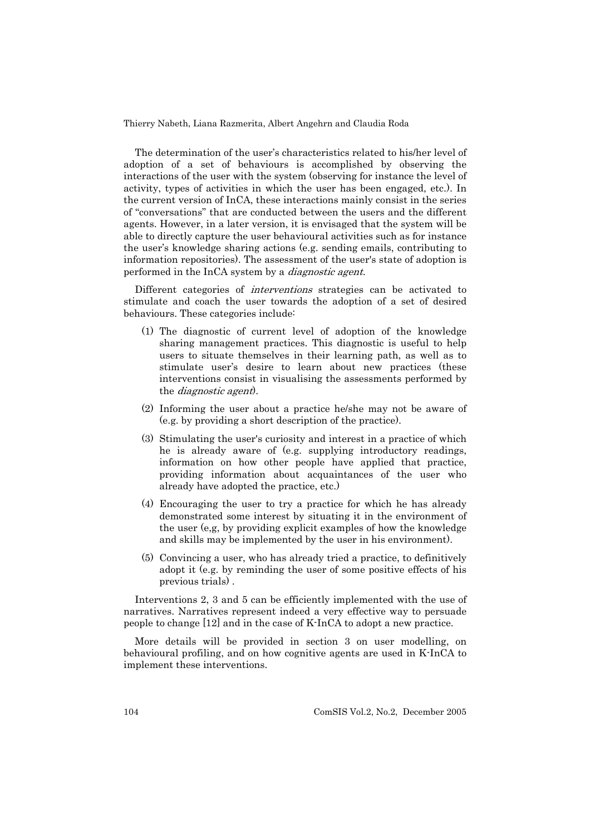The determination of the user's characteristics related to his/her level of adoption of a set of behaviours is accomplished by observing the interactions of the user with the system (observing for instance the level of activity, types of activities in which the user has been engaged, etc.). In the current version of InCA, these interactions mainly consist in the series of "conversations" that are conducted between the users and the different agents. However, in a later version, it is envisaged that the system will be able to directly capture the user behavioural activities such as for instance the user's knowledge sharing actions (e.g. sending emails, contributing to information repositories). The assessment of the user's state of adoption is performed in the InCA system by a *diagnostic agent*.

Different categories of interventions strategies can be activated to stimulate and coach the user towards the adoption of a set of desired behaviours. These categories include:

- (1) The diagnostic of current level of adoption of the knowledge sharing management practices. This diagnostic is useful to help users to situate themselves in their learning path, as well as to stimulate user's desire to learn about new practices (these interventions consist in visualising the assessments performed by the diagnostic agent).
- (2) Informing the user about a practice he/she may not be aware of (e.g. by providing a short description of the practice).
- (3) Stimulating the user's curiosity and interest in a practice of which he is already aware of (e.g. supplying introductory readings, information on how other people have applied that practice, providing information about acquaintances of the user who already have adopted the practice, etc.)
- (4) Encouraging the user to try a practice for which he has already demonstrated some interest by situating it in the environment of the user (e,g, by providing explicit examples of how the knowledge and skills may be implemented by the user in his environment).
- (5) Convincing a user, who has already tried a practice, to definitively adopt it (e.g. by reminding the user of some positive effects of his previous trials) .

Interventions 2, 3 and 5 can be efficiently implemented with the use of narratives. Narratives represent indeed a very effective way to persuade people to change [12] and in the case of K-InCA to adopt a new practice.

More details will be provided in section 3 on user modelling, on behavioural profiling, and on how cognitive agents are used in K-InCA to implement these interventions.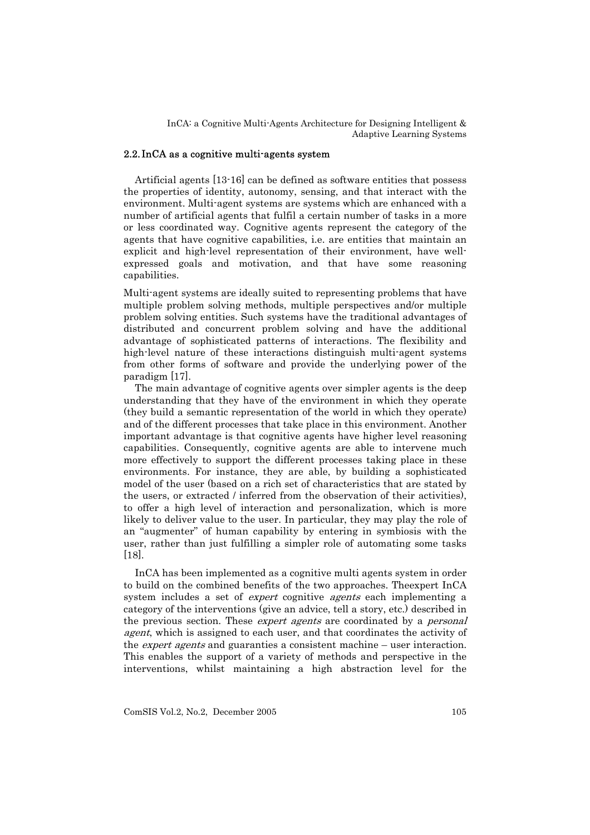### 2.2. InCA as a cognitive multi-agents system

Artificial agents [13-16] can be defined as software entities that possess the properties of identity, autonomy, sensing, and that interact with the environment. Multi-agent systems are systems which are enhanced with a number of artificial agents that fulfil a certain number of tasks in a more or less coordinated way. Cognitive agents represent the category of the agents that have cognitive capabilities, i.e. are entities that maintain an explicit and high-level representation of their environment, have wellexpressed goals and motivation, and that have some reasoning capabilities.

Multi-agent systems are ideally suited to representing problems that have multiple problem solving methods, multiple perspectives and/or multiple problem solving entities. Such systems have the traditional advantages of distributed and concurrent problem solving and have the additional advantage of sophisticated patterns of interactions. The flexibility and high-level nature of these interactions distinguish multi-agent systems from other forms of software and provide the underlying power of the paradigm [17].

The main advantage of cognitive agents over simpler agents is the deep understanding that they have of the environment in which they operate (they build a semantic representation of the world in which they operate) and of the different processes that take place in this environment. Another important advantage is that cognitive agents have higher level reasoning capabilities. Consequently, cognitive agents are able to intervene much more effectively to support the different processes taking place in these environments. For instance, they are able, by building a sophisticated model of the user (based on a rich set of characteristics that are stated by the users, or extracted / inferred from the observation of their activities), to offer a high level of interaction and personalization, which is more likely to deliver value to the user. In particular, they may play the role of an "augmenter" of human capability by entering in symbiosis with the user, rather than just fulfilling a simpler role of automating some tasks [18].

InCA has been implemented as a cognitive multi agents system in order to build on the combined benefits of the two approaches. Theexpert InCA system includes a set of *expert* cognitive *agents* each implementing a category of the interventions (give an advice, tell a story, etc.) described in the previous section. These *expert agents* are coordinated by a *personal* agent, which is assigned to each user, and that coordinates the activity of the *expert agents* and guaranties a consistent machine – user interaction. This enables the support of a variety of methods and perspective in the interventions, whilst maintaining a high abstraction level for the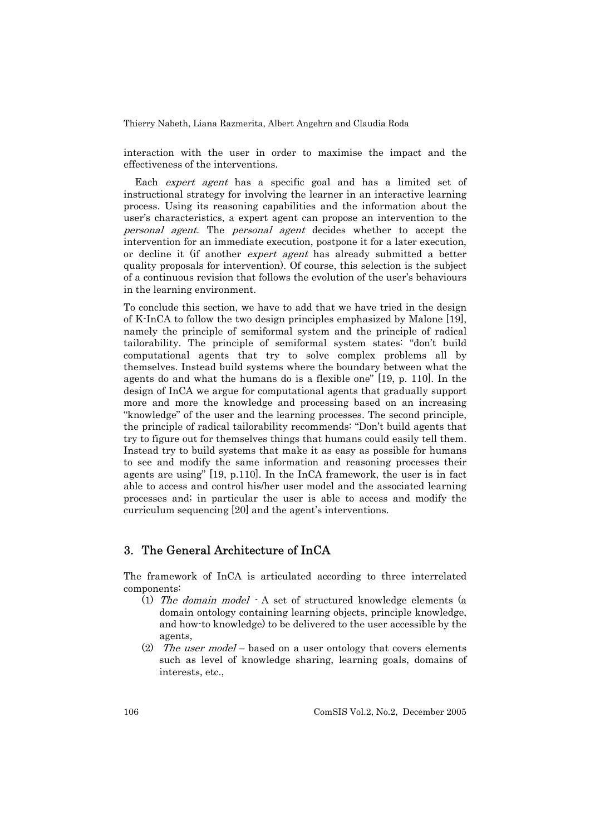interaction with the user in order to maximise the impact and the effectiveness of the interventions.

Each *expert agent* has a specific goal and has a limited set of instructional strategy for involving the learner in an interactive learning process. Using its reasoning capabilities and the information about the user's characteristics, a expert agent can propose an intervention to the personal agent. The personal agent decides whether to accept the intervention for an immediate execution, postpone it for a later execution, or decline it (if another *expert agent* has already submitted a better quality proposals for intervention). Of course, this selection is the subject of a continuous revision that follows the evolution of the user's behaviours in the learning environment.

To conclude this section, we have to add that we have tried in the design of K-InCA to follow the two design principles emphasized by Malone [19], namely the principle of semiformal system and the principle of radical tailorability. The principle of semiformal system states: "don't build computational agents that try to solve complex problems all by themselves. Instead build systems where the boundary between what the agents do and what the humans do is a flexible one" [19, p. 110]. In the design of InCA we argue for computational agents that gradually support more and more the knowledge and processing based on an increasing "knowledge" of the user and the learning processes. The second principle, the principle of radical tailorability recommends: "Don't build agents that try to figure out for themselves things that humans could easily tell them. Instead try to build systems that make it as easy as possible for humans to see and modify the same information and reasoning processes their agents are using" [19, p.110]. In the InCA framework, the user is in fact able to access and control his/her user model and the associated learning processes and; in particular the user is able to access and modify the curriculum sequencing [20] and the agent's interventions.

### 3. The General Architecture of InCA

The framework of InCA is articulated according to three interrelated components:

- (1) The domain model A set of structured knowledge elements (a domain ontology containing learning objects, principle knowledge, and how-to knowledge) to be delivered to the user accessible by the agents,
- (2) The user model based on a user ontology that covers elements such as level of knowledge sharing, learning goals, domains of interests, etc.,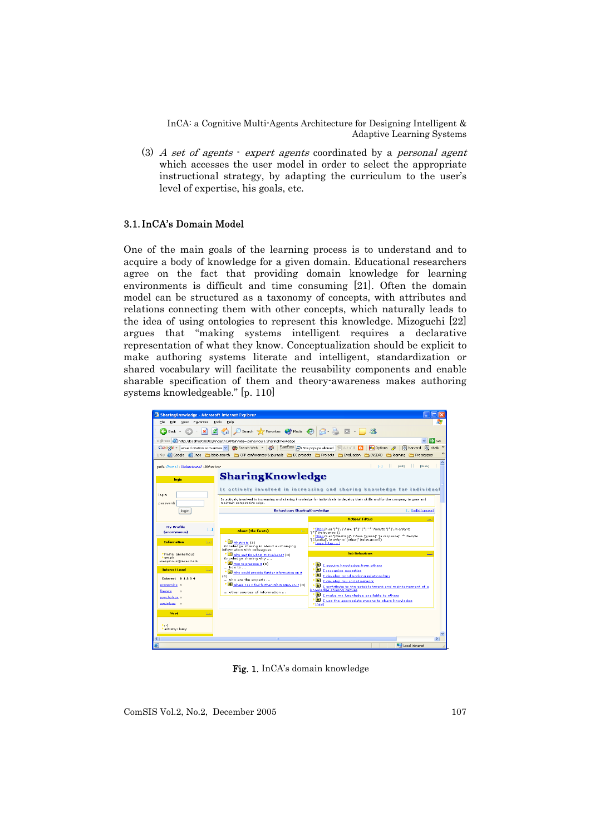(3) A set of agents  $\cdot$  expert agents coordinated by a personal agent which accesses the user model in order to select the appropriate instructional strategy, by adapting the curriculum to the user's level of expertise, his goals, etc.

### 3.1. InCA's Domain Model

One of the main goals of the learning process is to understand and to acquire a body of knowledge for a given domain. Educational researchers agree on the fact that providing domain knowledge for learning environments is difficult and time consuming [21]. Often the domain model can be structured as a taxonomy of concepts, with attributes and relations connecting them with other concepts, which naturally leads to the idea of using ontologies to represent this knowledge. Mizoguchi [22] argues that "making systems intelligent requires a declarative representation of what they know. Conceptualization should be explicit to make authoring systems literate and intelligent, standardization or shared vocabulary will facilitate the reusability components and enable sharable specification of them and theory-awareness makes authoring systems knowledgeable." [p. 110]



Fig. 1. InCA's domain knowledge

ComSIS Vol.2, No.2, December 2005 107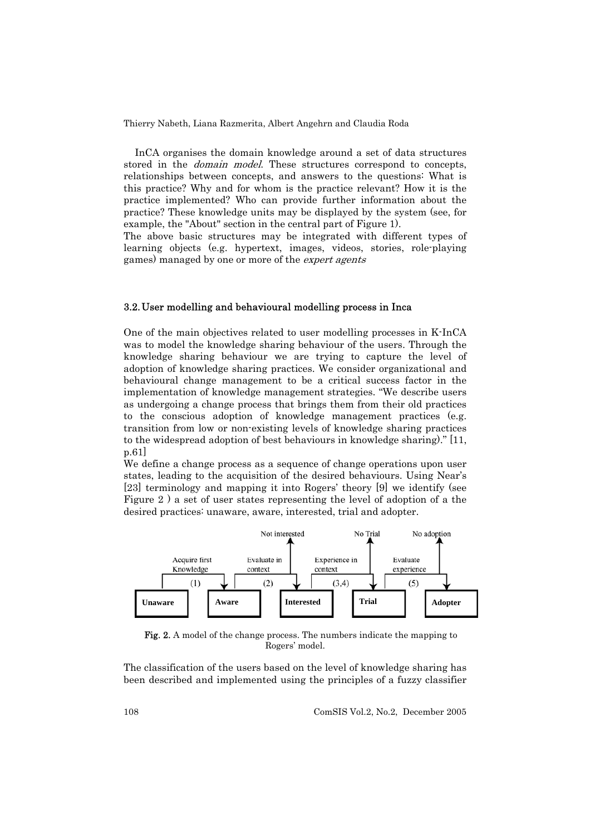InCA organises the domain knowledge around a set of data structures stored in the *domain model*. These structures correspond to concepts, relationships between concepts, and answers to the questions: What is this practice? Why and for whom is the practice relevant? How it is the practice implemented? Who can provide further information about the practice? These knowledge units may be displayed by the system (see, for example, the "About" section in the central part of Figure 1).

The above basic structures may be integrated with different types of learning objects (e.g. hypertext, images, videos, stories, role-playing games) managed by one or more of the *expert agents* 

#### 3.2. User modelling and behavioural modelling process in Inca

One of the main objectives related to user modelling processes in K-InCA was to model the knowledge sharing behaviour of the users. Through the knowledge sharing behaviour we are trying to capture the level of adoption of knowledge sharing practices. We consider organizational and behavioural change management to be a critical success factor in the implementation of knowledge management strategies. "We describe users as undergoing a change process that brings them from their old practices to the conscious adoption of knowledge management practices (e.g. transition from low or non-existing levels of knowledge sharing practices to the widespread adoption of best behaviours in knowledge sharing)." [11, p.61]

We define a change process as a sequence of change operations upon user states, leading to the acquisition of the desired behaviours. Using Near's [23] terminology and mapping it into Rogers' theory [9] we identify (see Figure 2 ) a set of user states representing the level of adoption of a the desired practices: unaware, aware, interested, trial and adopter.



Fig. 2. A model of the change process. The numbers indicate the mapping to Rogers' model.

The classification of the users based on the level of knowledge sharing has been described and implemented using the principles of a fuzzy classifier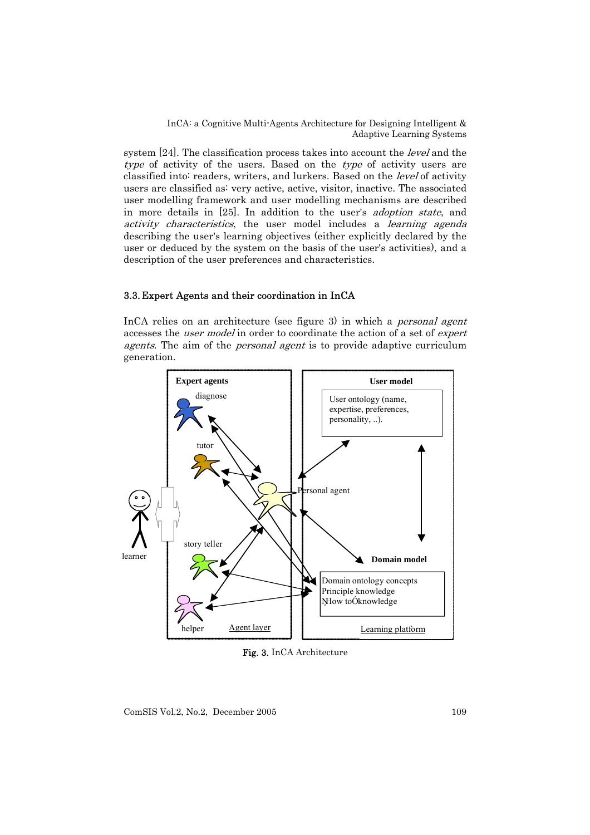system [24]. The classification process takes into account the *level* and the type of activity of the users. Based on the type of activity users are classified into: readers, writers, and lurkers. Based on the level of activity users are classified as: very active, active, visitor, inactive. The associated user modelling framework and user modelling mechanisms are described in more details in [25]. In addition to the user's adoption state, and activity characteristics, the user model includes a learning agenda describing the user's learning objectives (either explicitly declared by the user or deduced by the system on the basis of the user's activities), and a description of the user preferences and characteristics.

### 3.3. Expert Agents and their coordination in InCA

InCA relies on an architecture (see figure 3) in which a personal agent accesses the user model in order to coordinate the action of a set of expert agents. The aim of the *personal agent* is to provide adaptive curriculum generation.



Fig. 3. InCA Architecture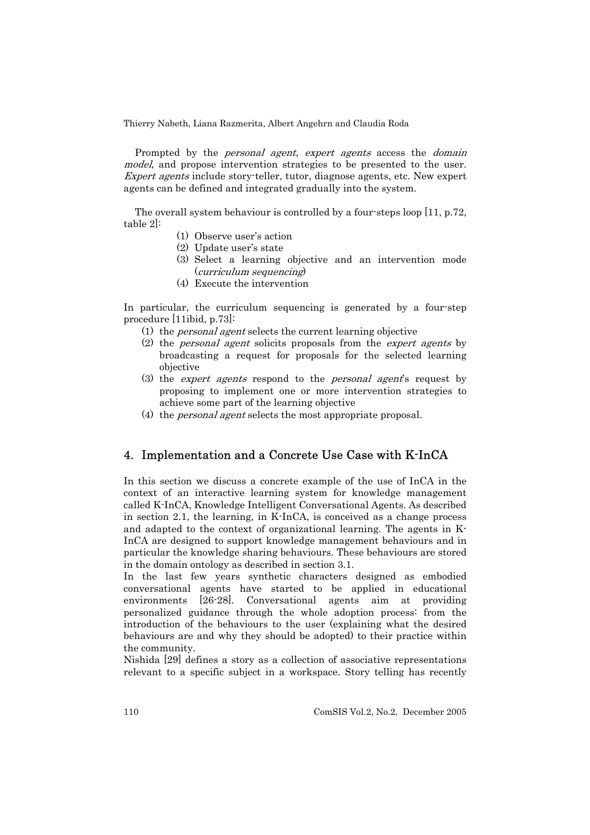Prompted by the *personal agent, expert agents* access the *domain* model, and propose intervention strategies to be presented to the user. Expert agents include story-teller, tutor, diagnose agents, etc. New expert agents can be defined and integrated gradually into the system.

The overall system behaviour is controlled by a four-steps loop [11, p.72, table 2]:

- (1) Observe user's action
- (2) Update user's state
- (3) Select a learning objective and an intervention mode (curriculum sequencing)
- (4) Execute the intervention

In particular, the curriculum sequencing is generated by a four-step procedure [11ibid, p.73]:

- (1) the personal agent selects the current learning objective
- (2) the personal agent solicits proposals from the expert agents by broadcasting a request for proposals for the selected learning objective
- (3) the expert agents respond to the personal agent's request by proposing to implement one or more intervention strategies to achieve some part of the learning objective
- (4) the personal agent selects the most appropriate proposal.

# 4. Implementation and a Concrete Use Case with K-InCA

In this section we discuss a concrete example of the use of InCA in the context of an interactive learning system for knowledge management called K-InCA, Knowledge Intelligent Conversational Agents. As described in section 2.1, the learning, in K-InCA, is conceived as a change process and adapted to the context of organizational learning. The agents in K-InCA are designed to support knowledge management behaviours and in particular the knowledge sharing behaviours. These behaviours are stored in the domain ontology as described in section 3.1.

In the last few years synthetic characters designed as embodied conversational agents have started to be applied in educational environments [26-28]. Conversational agents aim at providing personalized guidance through the whole adoption process: from the introduction of the behaviours to the user (explaining what the desired behaviours are and why they should be adopted) to their practice within the community.

Nishida [29] defines a story as a collection of associative representations relevant to a specific subject in a workspace. Story telling has recently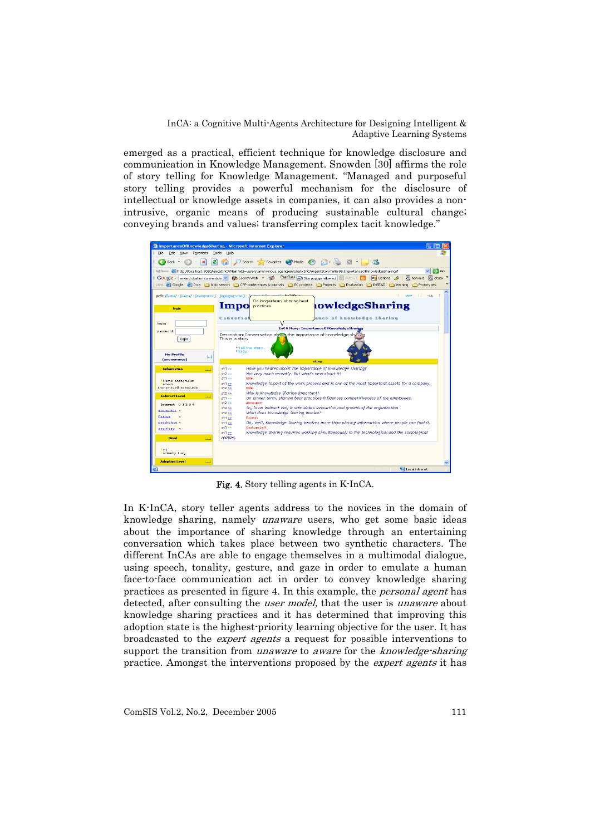emerged as a practical, efficient technique for knowledge disclosure and communication in Knowledge Management. Snowden [30] affirms the role of story telling for Knowledge Management. "Managed and purposeful story telling provides a powerful mechanism for the disclosure of intellectual or knowledge assets in companies, it can also provides a nonintrusive, organic means of producing sustainable cultural change; conveying brands and values; transferring complex tacit knowledge."



Fig. 4. Story telling agents in K-InCA.

In K-InCA, story teller agents address to the novices in the domain of knowledge sharing, namely unaware users, who get some basic ideas about the importance of sharing knowledge through an entertaining conversation which takes place between two synthetic characters. The different InCAs are able to engage themselves in a multimodal dialogue, using speech, tonality, gesture, and gaze in order to emulate a human face-to-face communication act in order to convey knowledge sharing practices as presented in figure 4. In this example, the personal agent has detected, after consulting the *user model*, that the user is *unaware* about knowledge sharing practices and it has determined that improving this adoption state is the highest-priority learning objective for the user. It has broadcasted to the expert agents a request for possible interventions to support the transition from *unaware* to *aware* for the *knowledge-sharing* practice. Amongst the interventions proposed by the *expert agents* it has

ComSIS Vol.2, No.2, December 2005 111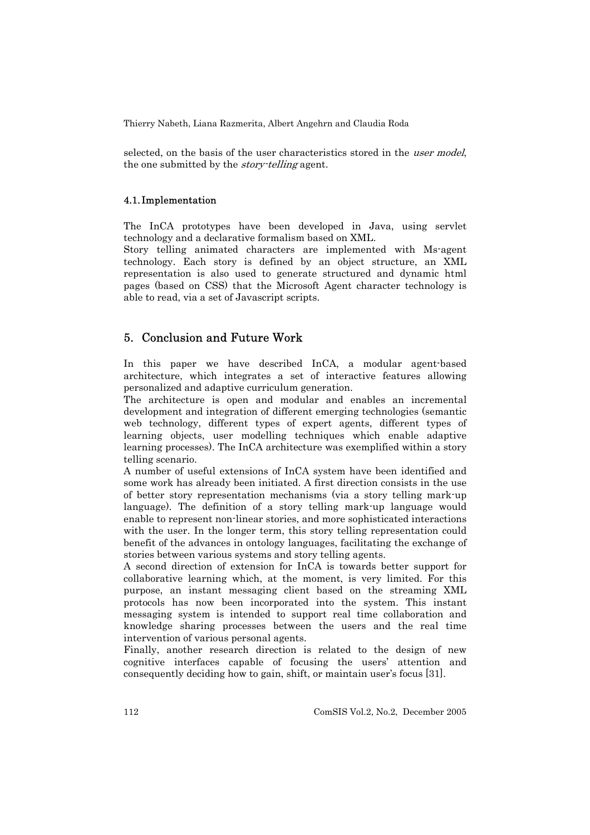selected, on the basis of the user characteristics stored in the *user model*, the one submitted by the *story-telling* agent.

#### 4.1. Implementation

The InCA prototypes have been developed in Java, using servlet technology and a declarative formalism based on XML.

Story telling animated characters are implemented with Ms-agent technology. Each story is defined by an object structure, an XML representation is also used to generate structured and dynamic html pages (based on CSS) that the Microsoft Agent character technology is able to read, via a set of Javascript scripts.

## 5. Conclusion and Future Work

In this paper we have described InCA, a modular agent-based architecture, which integrates a set of interactive features allowing personalized and adaptive curriculum generation.

The architecture is open and modular and enables an incremental development and integration of different emerging technologies (semantic web technology, different types of expert agents, different types of learning objects, user modelling techniques which enable adaptive learning processes). The InCA architecture was exemplified within a story telling scenario.

A number of useful extensions of InCA system have been identified and some work has already been initiated. A first direction consists in the use of better story representation mechanisms (via a story telling mark-up language). The definition of a story telling mark-up language would enable to represent non-linear stories, and more sophisticated interactions with the user. In the longer term, this story telling representation could benefit of the advances in ontology languages, facilitating the exchange of stories between various systems and story telling agents.

A second direction of extension for InCA is towards better support for collaborative learning which, at the moment, is very limited. For this purpose, an instant messaging client based on the streaming XML protocols has now been incorporated into the system. This instant messaging system is intended to support real time collaboration and knowledge sharing processes between the users and the real time intervention of various personal agents.

Finally, another research direction is related to the design of new cognitive interfaces capable of focusing the users' attention and consequently deciding how to gain, shift, or maintain user's focus [31].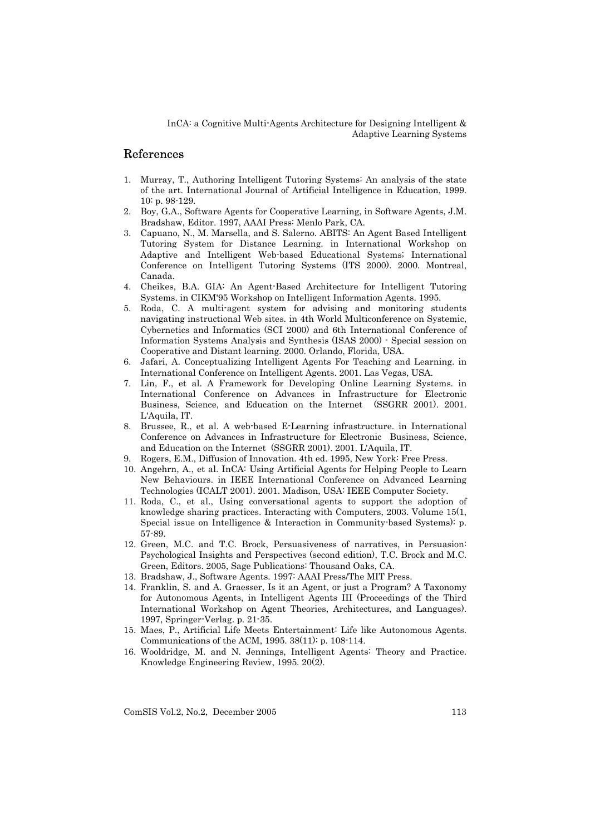### References

- 1. Murray, T., Authoring Intelligent Tutoring Systems: An analysis of the state of the art. International Journal of Artificial Intelligence in Education, 1999. 10: p. 98-129.
- 2. Boy, G.A., Software Agents for Cooperative Learning, in Software Agents, J.M. Bradshaw, Editor. 1997, AAAI Press: Menlo Park, CA.
- 3. Capuano, N., M. Marsella, and S. Salerno. ABITS: An Agent Based Intelligent Tutoring System for Distance Learning. in International Workshop on Adaptive and Intelligent Web-based Educational Systems; International Conference on Intelligent Tutoring Systems (ITS 2000). 2000. Montreal, Canada.
- 4. Cheikes, B.A. GIA: An Agent-Based Architecture for Intelligent Tutoring Systems. in CIKM'95 Workshop on Intelligent Information Agents. 1995.
- 5. Roda, C. A multi-agent system for advising and monitoring students navigating instructional Web sites. in 4th World Multiconference on Systemic, Cybernetics and Informatics (SCI 2000) and 6th International Conference of Information Systems Analysis and Synthesis (ISAS 2000) - Special session on Cooperative and Distant learning. 2000. Orlando, Florida, USA.
- 6. Jafari, A. Conceptualizing Intelligent Agents For Teaching and Learning. in International Conference on Intelligent Agents. 2001. Las Vegas, USA.
- 7. Lin, F., et al. A Framework for Developing Online Learning Systems. in International Conference on Advances in Infrastructure for Electronic Business, Science, and Education on the Internet (SSGRR 2001). 2001. L'Aquila, IT.
- 8. Brussee, R., et al. A web-based E-Learning infrastructure. in International Conference on Advances in Infrastructure for Electronic Business, Science, and Education on the Internet (SSGRR 2001). 2001. L'Aquila, IT.
- Rogers, E.M., Diffusion of Innovation. 4th ed. 1995, New York: Free Press.
- 10. Angehrn, A., et al. InCA: Using Artificial Agents for Helping People to Learn New Behaviours. in IEEE International Conference on Advanced Learning Technologies (ICALT 2001). 2001. Madison, USA: IEEE Computer Society.
- 11. Roda, C., et al., Using conversational agents to support the adoption of knowledge sharing practices. Interacting with Computers, 2003. Volume 15(1, Special issue on Intelligence & Interaction in Community-based Systems): p. 57-89.
- 12. Green, M.C. and T.C. Brock, Persuasiveness of narratives, in Persuasion: Psychological Insights and Perspectives (second edition), T.C. Brock and M.C. Green, Editors. 2005, Sage Publications: Thousand Oaks, CA.
- 13. Bradshaw, J., Software Agents. 1997: AAAI Press/The MIT Press.
- 14. Franklin, S. and A. Graesser, Is it an Agent, or just a Program? A Taxonomy for Autonomous Agents, in Intelligent Agents III (Proceedings of the Third International Workshop on Agent Theories, Architectures, and Languages). 1997, Springer-Verlag. p. 21-35.
- 15. Maes, P., Artificial Life Meets Entertainment: Life like Autonomous Agents. Communications of the ACM, 1995. 38(11): p. 108-114.
- 16. Wooldridge, M. and N. Jennings, Intelligent Agents: Theory and Practice. Knowledge Engineering Review, 1995. 20(2).